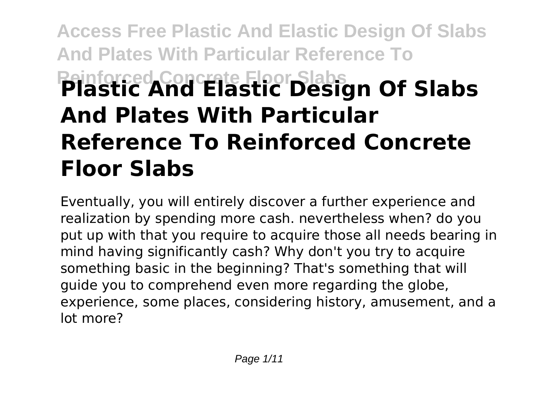# **Access Free Plastic And Elastic Design Of Slabs And Plates With Particular Reference To Reinforced Concrete Floor Slabs Plastic And Elastic Design Of Slabs And Plates With Particular Reference To Reinforced Concrete Floor Slabs**

Eventually, you will entirely discover a further experience and realization by spending more cash. nevertheless when? do you put up with that you require to acquire those all needs bearing in mind having significantly cash? Why don't you try to acquire something basic in the beginning? That's something that will guide you to comprehend even more regarding the globe, experience, some places, considering history, amusement, and a lot more?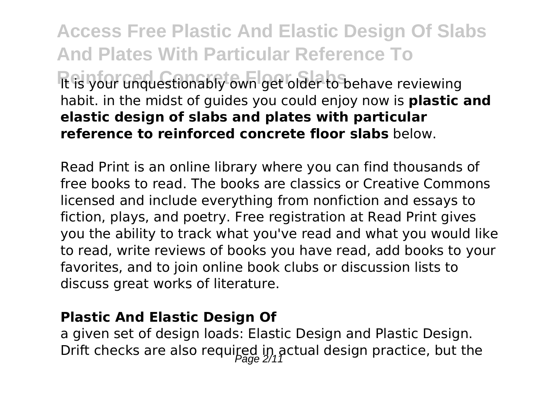**Access Free Plastic And Elastic Design Of Slabs And Plates With Particular Reference To** Reinforced Concrete Floor Superstand Text Slabs<br> **Register** Godf of the United States of the Superstanding of the Species reviewing habit. in the midst of guides you could enjoy now is **plastic and elastic design of slabs and plates with particular reference to reinforced concrete floor slabs** below.

Read Print is an online library where you can find thousands of free books to read. The books are classics or Creative Commons licensed and include everything from nonfiction and essays to fiction, plays, and poetry. Free registration at Read Print gives you the ability to track what you've read and what you would like to read, write reviews of books you have read, add books to your favorites, and to join online book clubs or discussion lists to discuss great works of literature.

#### **Plastic And Elastic Design Of**

a given set of design loads: Elastic Design and Plastic Design. Drift checks are also required in actual design practice, but the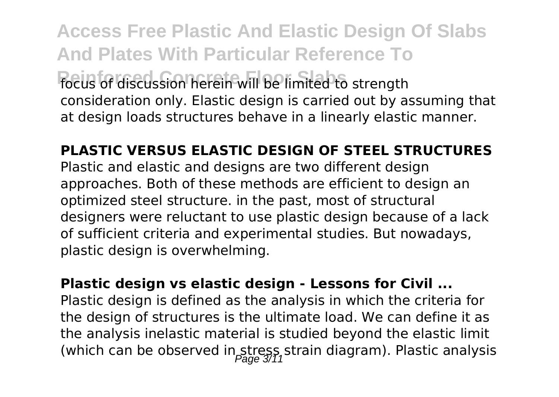**Access Free Plastic And Elastic Design Of Slabs And Plates With Particular Reference To Reinforced Concrete Floor Slabs** focus of discussion herein will be limited to strength consideration only. Elastic design is carried out by assuming that at design loads structures behave in a linearly elastic manner.

**PLASTIC VERSUS ELASTIC DESIGN OF STEEL STRUCTURES** Plastic and elastic and designs are two different design approaches. Both of these methods are efficient to design an optimized steel structure. in the past, most of structural designers were reluctant to use plastic design because of a lack of sufficient criteria and experimental studies. But nowadays, plastic design is overwhelming.

**Plastic design vs elastic design - Lessons for Civil ...** Plastic design is defined as the analysis in which the criteria for the design of structures is the ultimate load. We can define it as the analysis inelastic material is studied beyond the elastic limit (which can be observed in stress, strain diagram). Plastic analysis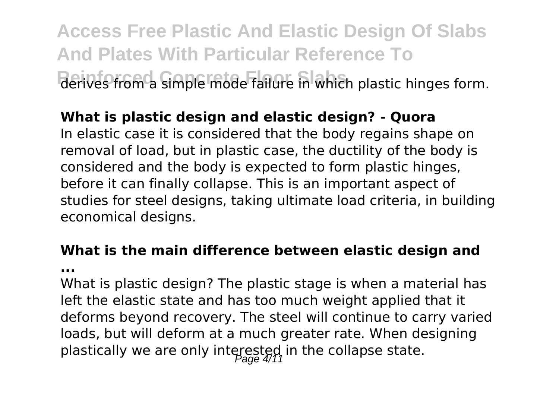**Access Free Plastic And Elastic Design Of Slabs And Plates With Particular Reference To** Rerives from a simple mode failure in which plastic hinges form.

#### **What is plastic design and elastic design? - Quora**

In elastic case it is considered that the body regains shape on removal of load, but in plastic case, the ductility of the body is considered and the body is expected to form plastic hinges, before it can finally collapse. This is an important aspect of studies for steel designs, taking ultimate load criteria, in building economical designs.

#### **What is the main difference between elastic design and**

**...**

What is plastic design? The plastic stage is when a material has left the elastic state and has too much weight applied that it deforms beyond recovery. The steel will continue to carry varied loads, but will deform at a much greater rate. When designing plastically we are only interested in the collapse state.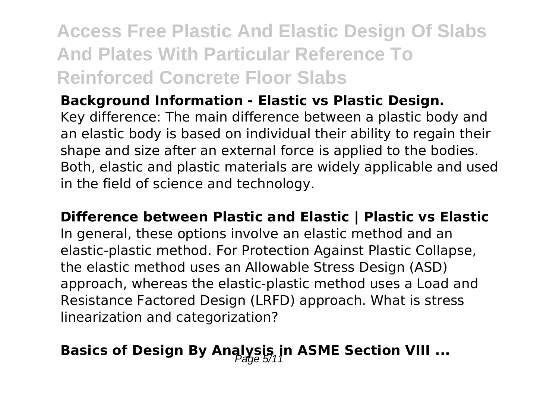### **Access Free Plastic And Elastic Design Of Slabs And Plates With Particular Reference To Reinforced Concrete Floor Slabs**

**Background Information - Elastic vs Plastic Design.**

Key difference: The main difference between a plastic body and an elastic body is based on individual their ability to regain their shape and size after an external force is applied to the bodies. Both, elastic and plastic materials are widely applicable and used in the field of science and technology.

**Difference between Plastic and Elastic | Plastic vs Elastic** In general, these options involve an elastic method and an elastic-plastic method. For Protection Against Plastic Collapse, the elastic method uses an Allowable Stress Design (ASD) approach, whereas the elastic-plastic method uses a Load and Resistance Factored Design (LRFD) approach. What is stress linearization and categorization?

### **Basics of Design By Analysis, in ASME Section VIII ...**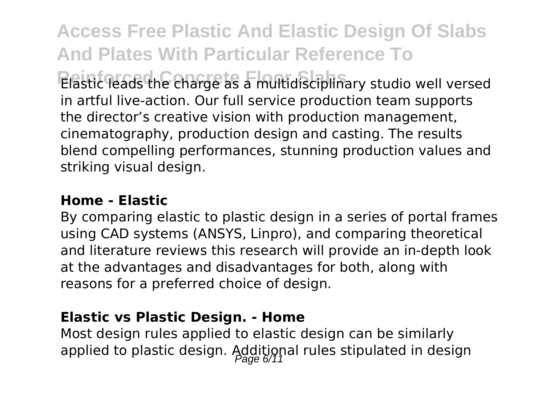**Access Free Plastic And Elastic Design Of Slabs And Plates With Particular Reference To Reinforced Concrete Floor Slabs** Elastic leads the charge as a multidisciplinary studio well versed in artful live-action. Our full service production team supports the director's creative vision with production management, cinematography, production design and casting. The results blend compelling performances, stunning production values and striking visual design.

#### **Home - Elastic**

By comparing elastic to plastic design in a series of portal frames using CAD systems (ANSYS, Linpro), and comparing theoretical and literature reviews this research will provide an in-depth look at the advantages and disadvantages for both, along with reasons for a preferred choice of design.

#### **Elastic vs Plastic Design. - Home**

Most design rules applied to elastic design can be similarly applied to plastic design. Additional rules stipulated in design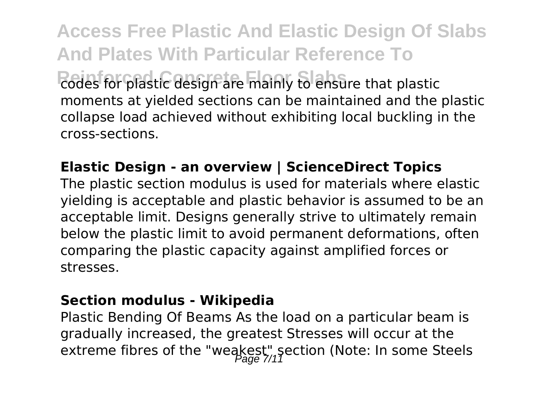**Access Free Plastic And Elastic Design Of Slabs And Plates With Particular Reference To** Redes for plastic design are mainly to ensure that plastic moments at yielded sections can be maintained and the plastic collapse load achieved without exhibiting local buckling in the cross-sections.

#### **Elastic Design - an overview | ScienceDirect Topics**

The plastic section modulus is used for materials where elastic yielding is acceptable and plastic behavior is assumed to be an acceptable limit. Designs generally strive to ultimately remain below the plastic limit to avoid permanent deformations, often comparing the plastic capacity against amplified forces or stresses.

#### **Section modulus - Wikipedia**

Plastic Bending Of Beams As the load on a particular beam is gradually increased, the greatest Stresses will occur at the extreme fibres of the "weakest" section (Note: In some Steels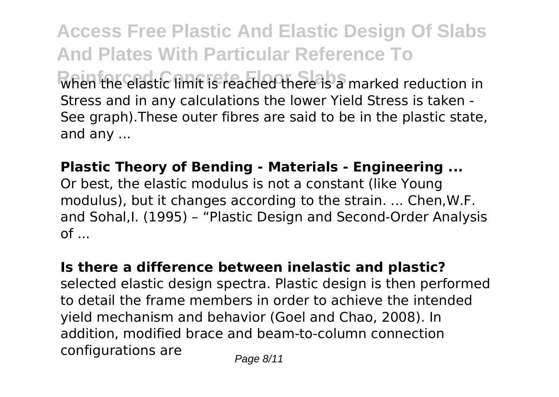**Access Free Plastic And Elastic Design Of Slabs And Plates With Particular Reference To Reinforced Concrete Floor Slabs** when the elastic limit is reached there is a marked reduction in Stress and in any calculations the lower Yield Stress is taken - See graph).These outer fibres are said to be in the plastic state, and any ...

**Plastic Theory of Bending - Materials - Engineering ...**

Or best, the elastic modulus is not a constant (like Young modulus), but it changes according to the strain. ... Chen,W.F. and Sohal,I. (1995) – "Plastic Design and Second-Order Analysis  $of \dots$ 

**Is there a difference between inelastic and plastic?**

selected elastic design spectra. Plastic design is then performed to detail the frame members in order to achieve the intended yield mechanism and behavior (Goel and Chao, 2008). In addition, modified brace and beam-to-column connection configurations are  $P_{\text{face } 8/11}$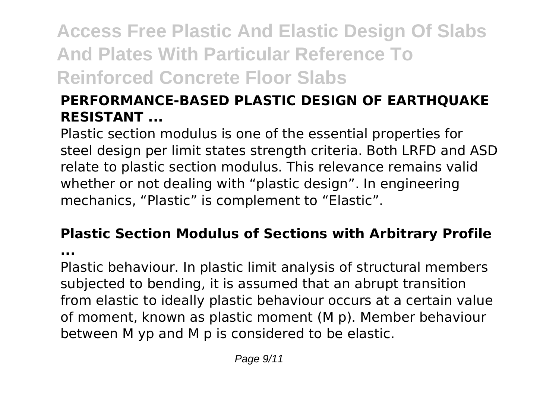## **Access Free Plastic And Elastic Design Of Slabs And Plates With Particular Reference To Reinforced Concrete Floor Slabs**

#### **PERFORMANCE-BASED PLASTIC DESIGN OF EARTHQUAKE RESISTANT ...**

Plastic section modulus is one of the essential properties for steel design per limit states strength criteria. Both LRFD and ASD relate to plastic section modulus. This relevance remains valid whether or not dealing with "plastic design". In engineering mechanics, "Plastic" is complement to "Elastic".

# **Plastic Section Modulus of Sections with Arbitrary Profile**

**...**

Plastic behaviour. In plastic limit analysis of structural members subjected to bending, it is assumed that an abrupt transition from elastic to ideally plastic behaviour occurs at a certain value of moment, known as plastic moment (M p). Member behaviour between M yp and M p is considered to be elastic.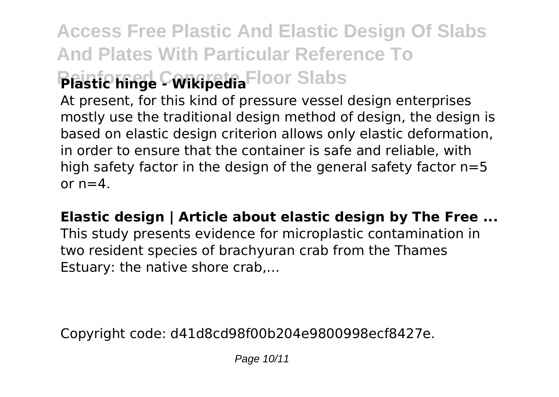## **Access Free Plastic And Elastic Design Of Slabs And Plates With Particular Reference To Plastic hinge Concipedia** Floor Slabs

At present, for this kind of pressure vessel design enterprises mostly use the traditional design method of design, the design is based on elastic design criterion allows only elastic deformation, in order to ensure that the container is safe and reliable, with high safety factor in the design of the general safety factor  $n=5$ or  $n=4$ .

#### **Elastic design | Article about elastic design by The Free ...**

This study presents evidence for microplastic contamination in two resident species of brachyuran crab from the Thames Estuary: the native shore crab,…

Copyright code: d41d8cd98f00b204e9800998ecf8427e.

Page 10/11